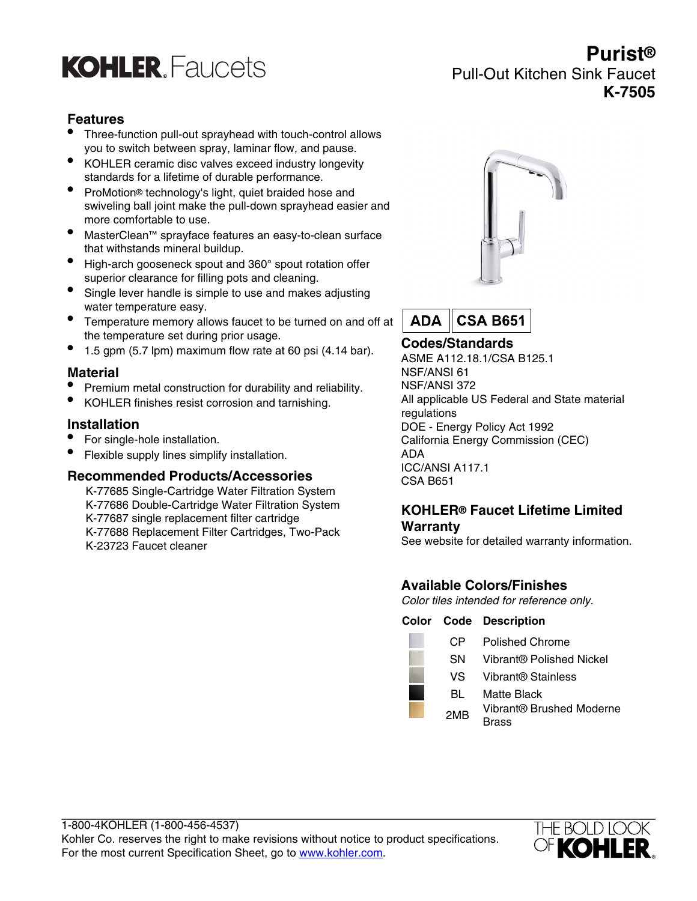

# **Purist®** Pull-Out Kitchen Sink Faucet **K-7505**

### **Features**

- Three-function pull-out sprayhead with touch-control allows you to switch between spray, laminar flow, and pause.
- KOHLER ceramic disc valves exceed industry longevity standards for a lifetime of durable performance.
- ProMotion® technology's light, quiet braided hose and swiveling ball joint make the pull-down sprayhead easier and more comfortable to use.
- MasterClean™ sprayface features an easy-to-clean surface that withstands mineral buildup.
- High-arch gooseneck spout and 360° spout rotation offer superior clearance for filling pots and cleaning.
- Single lever handle is simple to use and makes adjusting water temperature easy.
- Temperature memory allows faucet to be turned on and off at the temperature set during prior usage.
- 1.5 gpm (5.7 lpm) maximum flow rate at 60 psi (4.14 bar).

#### **Material**

- Premium metal construction for durability and reliability.
- KOHLER finishes resist corrosion and tarnishing.

#### **Installation**

- For single-hole installation.
- Flexible supply lines simplify installation.

#### **Recommended Products/Accessories**

K-77685 Single-Cartridge Water Filtration System K-77686 Double-Cartridge Water Filtration System K-77687 single replacement filter cartridge K-77688 Replacement Filter Cartridges, Two-Pack K-23723 Faucet cleaner





## **Codes/Standards**

ASME A112.18.1/CSA B125.1 NSF/ANSI 61 NSF/ANSI 372 All applicable US Federal and State material regulations DOE - Energy Policy Act 1992 California Energy Commission (CEC) ADA ICC/ANSI A117.1 CSA B651

#### **KOHLER® Faucet Lifetime Limited Warranty**

See website for detailed warranty information.

#### **Available Colors/Finishes**

Color tiles intended for reference only.